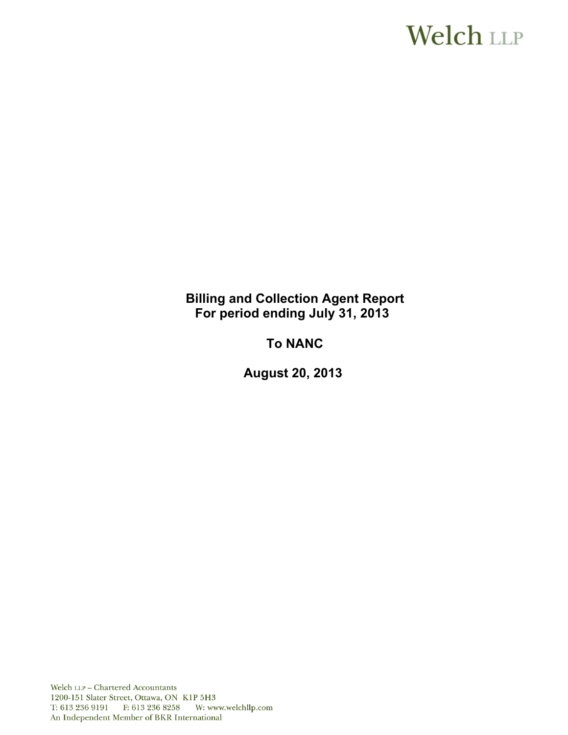# **Welch LLP**

**Billing and Collection Agent Report For period ending July 31, 2013** 

**To NANC** 

**August 20, 2013** 

Welch LLP - Chartered Accountants 1200-151 Slater Street, Ottawa, ON K1P 5H3 T: 613 236 9191 F: 613 236 8258 W: www.welchllp.com An Independent Member of BKR International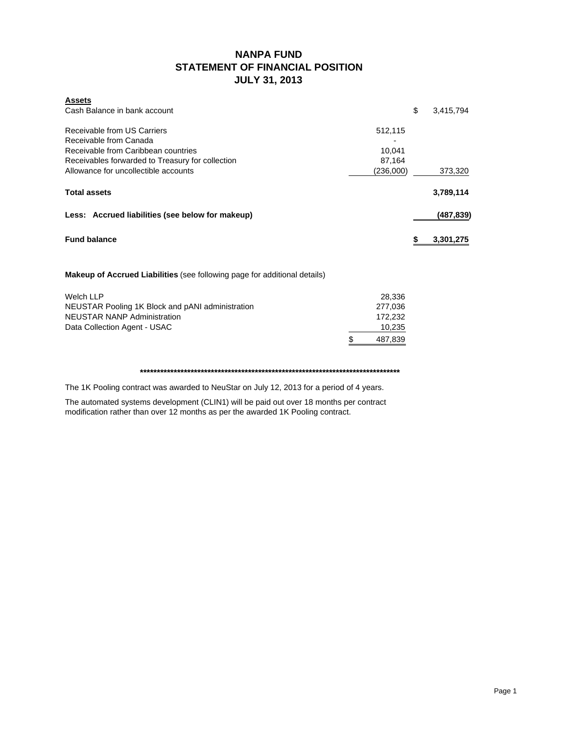### **NANPA FUND STATEMENT OF FINANCIAL POSITION JULY 31, 2013**

| <b>Assets</b>                                              |                 |
|------------------------------------------------------------|-----------------|
| Cash Balance in bank account                               | \$<br>3,415,794 |
| Receivable from US Carriers<br>512,115                     |                 |
| Receivable from Canada                                     |                 |
| Receivable from Caribbean countries<br>10,041              |                 |
| Receivables forwarded to Treasury for collection<br>87,164 |                 |
| Allowance for uncollectible accounts<br>(236,000)          | 373,320         |
| <b>Total assets</b>                                        | 3,789,114       |
| Less: Accrued liabilities (see below for makeup)           | (487,839)       |
| <b>Fund balance</b>                                        | \$<br>3,301,275 |
|                                                            |                 |

**Makeup of Accrued Liabilities** (see following page for additional details)

| NEUSTAR Pooling 1K Block and pANI administration<br>NEUSTAR NANP Administration |   | 277.036<br>172.232 |
|---------------------------------------------------------------------------------|---|--------------------|
| Data Collection Agent - USAC                                                    |   | 10,235             |
|                                                                                 | S | 487.839            |

#### **\*\*\*\*\*\*\*\*\*\*\*\*\*\*\*\*\*\*\*\*\*\*\*\*\*\*\*\*\*\*\*\*\*\*\*\*\*\*\*\*\*\*\*\*\*\*\*\*\*\*\*\*\*\*\*\*\*\*\*\*\*\*\*\*\*\*\*\*\*\*\*\*\*\*\*\*\***

The 1K Pooling contract was awarded to NeuStar on July 12, 2013 for a period of 4 years.

The automated systems development (CLIN1) will be paid out over 18 months per contract modification rather than over 12 months as per the awarded 1K Pooling contract.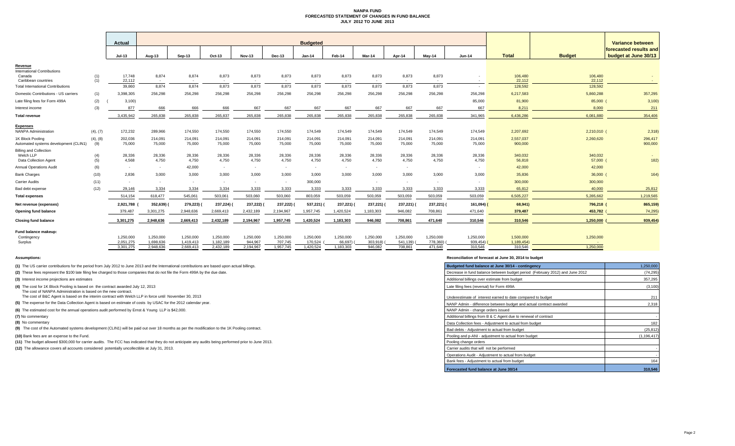#### **NANPA FUND FORECASTED STATEMENT OF CHANGES IN FUND BALANCE JULY 2012 TO JUNE 2013**

|                                                                     |                 | Actual                 |                        | <b>Budgeted</b>            |                          |                      |                            |                      |                      |                       |                       |                          | Variance between      |                         |                     |                                                |
|---------------------------------------------------------------------|-----------------|------------------------|------------------------|----------------------------|--------------------------|----------------------|----------------------------|----------------------|----------------------|-----------------------|-----------------------|--------------------------|-----------------------|-------------------------|---------------------|------------------------------------------------|
|                                                                     |                 | Jul-13                 | Aug-13                 | Sep-13                     | Oct-13                   | <b>Nov-13</b>        | Dec-13                     | Jan-14               | Feb-14               | Mar-14                | Apr-14                | May-14                   | <b>Jun-14</b>         | <b>Total</b>            | <b>Budget</b>       | forecasted results and<br>budget at June 30/13 |
| Revenue<br><b>International Contributions</b>                       |                 |                        |                        |                            |                          |                      |                            |                      |                      |                       |                       |                          |                       |                         |                     |                                                |
| Canada<br>Caribbean countries                                       | (1)<br>(1)      | 17.748<br>22,112       | 8,874<br>$\sim$        | 8,874<br><b>CONTRACTOR</b> | 8,873<br>. .             | 8,873                | 8,873<br><b>CONTRACTOR</b> | 8,873<br>. .         | 8,873<br>$\sim$      | 8,873<br><b>COL</b>   | 8,873<br>. .          | 8,873<br>۰.              |                       | 106,480<br>22,112       | 106,480<br>22,112   |                                                |
| <b>Total International Contributions</b>                            |                 | 39,860                 | 8,874                  | 8,874                      | 8,873                    | 8,873                | 8,873                      | 8,873                | 8,873                | 8,873                 | 8,873                 | 8,873                    |                       | 128,592                 | 128,592             |                                                |
| Domestic Contributions - US carriers                                | (1)             | 3.398.305              | 256,298                | 256,298                    | 256,298                  | 256,298              | 256,298                    | 256,298              | 256,298              | 256,298               | 256,298               | 256,298                  | 256,298               | 6,217,583               | 5,860,288           | 357,295                                        |
| Late filing fees for Form 499A                                      | (2)             | 3,100                  |                        |                            |                          |                      |                            |                      |                      |                       |                       |                          | 85,000                | 81,900                  | 85,000 (            | 3,100                                          |
| Interest income                                                     | (3)             | 877                    | 666                    | 666                        | 666                      | 667                  | 667                        | 667                  | 667                  | 667                   | 667                   | 667                      | 667                   | 8,211                   | 8,000               | 211                                            |
| <b>Total revenue</b>                                                |                 | 3.435.942              | 265.838                | 265,838                    | 265.837                  | 265.838              | 265,838                    | 265.838              | 265.838              | 265,838               | 265.838               | 265.838                  | 341.965               | 6.436.286               | 6.081.880           | 354,406                                        |
| <b>Expenses</b><br><b>NANPA Administration</b>                      | (4), (7)        | 172,232                | 289,966                | 174,550                    | 174,550                  | 174,550              | 174,550                    | 174,549              | 174,549              | 174,549               | 174,549               | 174,549                  | 174,549               | 2,207,692               | 2,210,010 (         | 2,318                                          |
| 1K Block Pooling<br>Automated systems development (CLIN1)           | (4), (8)<br>(9) | 202,036<br>75,000      | 214,091<br>75,000      | 214,091<br>75,000          | 214,091<br>75,000        | 214,091<br>75,000    | 214,091<br>75,000          | 214,091<br>75,000    | 214,091<br>75,000    | 214,091<br>75,000     | 214,091<br>75,000     | 214.091<br>75,000        | 214,091<br>75,000     | 2,557,037<br>900,000    | 2,260,620           | 296,417<br>900,000                             |
| <b>Billing and Collection</b><br>Welch LLP<br>Data Collection Agent | (4)<br>(5)      | 28,336<br>4,568        | 28,336<br>4,750        | 28,336<br>4,750            | 28,336<br>4,750          | 28,336<br>4,750      | 28,336<br>4,750            | 28,336<br>4,750      | 28,336<br>4,750      | 28,336<br>4,750       | 28,336<br>4,750       | 28,336<br>4,750          | 28,336<br>4,750       | 340,032<br>56,818       | 340,032<br>57,000 ( | 182)                                           |
| <b>Annual Operations Audit</b>                                      | (6)             | $\sim$                 |                        | 42,000                     | $\sim$                   |                      | $\sim$                     |                      | $\sim$               | $\sim$                | $\sim$                |                          |                       | 42,000                  | 42,000              |                                                |
| <b>Bank Charges</b>                                                 | (10)            | 2.836                  | 3.000                  | 3.000                      | 3.000                    | 3.000                | 3.000                      | 3.000                | 3.000                | 3.000                 | 3.000                 | 3.000                    | 3,000                 | 35,836                  | $36,000$ (          | 164)                                           |
| <b>Carrier Audits</b>                                               | (11)            | $\sim$                 |                        | . п.                       | $\overline{\phantom{a}}$ |                      | $\sim$                     | 300,000              |                      |                       | $\sim$                | $\overline{\phantom{a}}$ |                       | 300,000                 | 300,000             |                                                |
| Bad debt expense                                                    | (12)            | 29.146                 | 3,334                  | 3,334                      | 3,334                    | 3,333                | 3,333                      | 3,333                | 3,333                | 3,333                 | 3,333                 | 3,333                    | 3,333                 | 65,812                  | 40,000              | 25,812                                         |
| <b>Total expenses</b>                                               |                 | 514,154                | 618,477                | 545,061                    | 503,061                  | 503,060              | 503,060                    | 803,059              | 503,059              | 503,059               | 503,059               | 503,059                  | 503,059               | 6,505,227               | 5,285,662           | 1,219,565                                      |
| Net revenue (expenses)                                              |                 | 2,921,788              | 352,639)               | 279,223)                   | 237,224) (               | 237,222)             | 237,222)                   | 537,221)             | 237,221) (           | 237,221)              | 237,221)              | 237,221) (               | 161,094)              | 68,941)                 | 796,218 (           | 865,159)                                       |
| Opening fund balance                                                |                 | 379,487                | 3,301,275              | 2,948,636                  | 2,669,413                | 2,432,189            | 2,194,967                  | 1,957,745            | 1,420,524            | 1,183,303             | 946,082               | 708,861                  | 471,640               | 379,487                 | 453,782             | 74,295                                         |
| <b>Closing fund balance</b>                                         |                 | 3,301,275              | 2,948,636              | 2,669,413                  | 2,432,189                | 2,194,967            | 1,957,745                  | 1,420,524            | 1,183,303            | 946,082               | 708,861               | 471,640                  | 310,546               | 310,546                 | 1,250,000           | 939,454                                        |
| Fund balance makeup:<br>Contingency<br>Surplus                      |                 | 1.250.000<br>2,051,275 | 1.250.000<br>1,698,636 | 1,250,000<br>1,419,413     | 1.250.000<br>1,182,189   | 1,250,000<br>944.967 | 1,250,000<br>707.745       | 1,250,000<br>170,524 | 1,250,000<br>66,697) | 1,250,000<br>303,918) | 1.250.000<br>541,139) | 1,250,000<br>778,360)    | 1,250,000<br>939,454) | 1,500,000<br>1,189,454) | 1,250,000           |                                                |
|                                                                     |                 | 3,301,275              | 2,948,636              | 2,669,413                  | 2,432,189                | 2,194,967            | 1,957,745                  | 1,420,524            | 1,183,303            | 946,082               | 708.861               | 471,640                  | 310,546               | 310,546                 | 1,250,000           |                                                |

**(8)** No commentary

#### **Assumptions: Reconciliation of forecast at June 30, 2014 to budget**

| (1) The US carrier contributions for the period from July 2012 to June 2013 and the International contributions are based upon actual billings.        | Budgeted fund balance at June 30/14 - contingency                            | 1,250,000   |
|--------------------------------------------------------------------------------------------------------------------------------------------------------|------------------------------------------------------------------------------|-------------|
| (2) These fees represent the \$100 late filing fee charged to those companies that do not file the Form 499A by the due date.                          | Decrease in fund balance between budget period (February 2012) and June 2012 | (74, 295)   |
| (3) Interest income projections are estimates                                                                                                          | Additional billings over estimate from budget                                | 357,295     |
| (4) The cost for 1K Block Pooling is based on the contract awarded July 12, 2013<br>The cost of NANPA Administration is based on the new contract.     | Late filing fees (reversal) for Form 499A                                    | (3, 100)    |
| The cost of B&C Agent is based on the interim contract with Welch LLP in force until November 30, 2013                                                 | Underestimate of interest earned to date compared to budget                  | 211         |
| (5) The expense for the Data Collection Agent is based on estimate of costs by USAC for the 2012 calendar year.                                        | NANP Admin - difference between budget and actual contract awarded           | 2.318       |
| (6) The estimated cost for the annual operations audit performed by Ernst & Young LLP is \$42,000.                                                     | NANP Admin - change orders issued                                            |             |
| (7) No commentary                                                                                                                                      | Additional billings from B & C Agent due to renewal of contract              |             |
| (8) No commentary                                                                                                                                      | Data Collection fees - Adjustment to actual from budget                      | 182         |
| (9) The cost of the Automated systems development (CLIN1) will be paid out over 18 months as per the modification to the 1K Pooling contract.          | Bad debts - Adiustment to actual from budget                                 | (25, 812)   |
| (10) Bank fees are an expense to the Fund.                                                                                                             | Pooling and p-ANI - adjustment to actual from budget                         | (1.196.417) |
| (11) The budget allowed \$300,000 for carrier audits. The FCC has indicated that they do not anticipate any audits being performed prior to June 2013. | Pooling change orders                                                        |             |
| (12) The allowance covers all accounts considered potentially uncollectible at July 31, 2013.                                                          | Carrier audits that will not be performed                                    |             |
|                                                                                                                                                        | Operations Audit - Adjustment to actual from budget                          |             |
|                                                                                                                                                        | Bank fees - Adjustment to actual from budget                                 | 164         |
|                                                                                                                                                        | Forecasted fund balance at June 30/14                                        | 310,546     |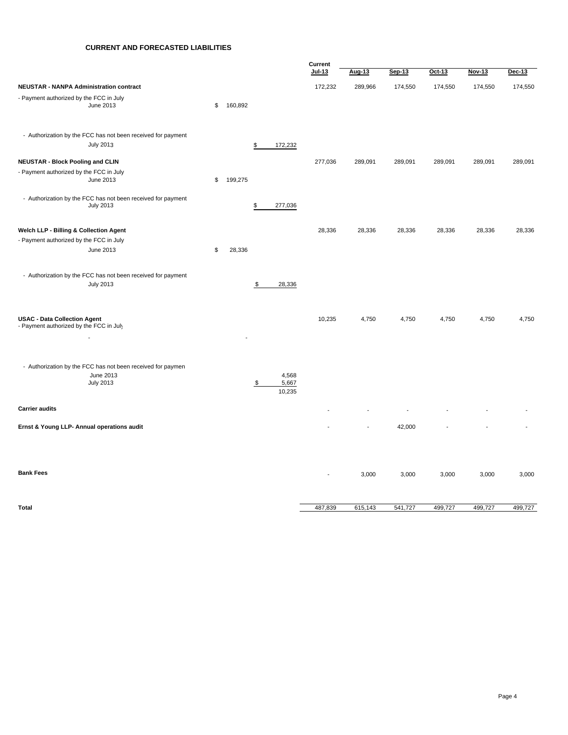#### **CURRENT AND FORECASTED LIABILITIES**

|                                                                                              |               |                                | Current |         |         |         |         |         |
|----------------------------------------------------------------------------------------------|---------------|--------------------------------|---------|---------|---------|---------|---------|---------|
|                                                                                              |               |                                | Jul-13  | Aug-13  | Sep-13  | Oct-13  | Nov-13  | Dec-13  |
| <b>NEUSTAR - NANPA Administration contract</b>                                               |               |                                | 172,232 | 289,966 | 174,550 | 174,550 | 174,550 | 174,550 |
| - Payment authorized by the FCC in July<br>June 2013                                         | \$<br>160,892 |                                |         |         |         |         |         |         |
| - Authorization by the FCC has not been received for payment<br><b>July 2013</b>             |               | \$<br>172,232                  |         |         |         |         |         |         |
| <b>NEUSTAR - Block Pooling and CLIN</b>                                                      |               |                                | 277,036 | 289,091 | 289,091 | 289,091 | 289,091 | 289,091 |
| - Payment authorized by the FCC in July<br>June 2013                                         | \$<br>199,275 |                                |         |         |         |         |         |         |
| - Authorization by the FCC has not been received for payment<br><b>July 2013</b>             |               | \$<br>277,036                  |         |         |         |         |         |         |
| Welch LLP - Billing & Collection Agent                                                       |               |                                | 28,336  | 28,336  | 28,336  | 28,336  | 28,336  | 28,336  |
| - Payment authorized by the FCC in July<br>June 2013                                         | \$<br>28,336  |                                |         |         |         |         |         |         |
| - Authorization by the FCC has not been received for payment<br><b>July 2013</b>             |               | \$<br>28,336                   |         |         |         |         |         |         |
| <b>USAC - Data Collection Agent</b><br>- Payment authorized by the FCC in July               |               |                                | 10,235  | 4,750   | 4,750   | 4,750   | 4,750   | 4,750   |
| - Authorization by the FCC has not been received for paymen<br>June 2013<br><b>July 2013</b> |               | \$<br>4,568<br>5,667<br>10,235 |         |         |         |         |         |         |
| <b>Carrier audits</b>                                                                        |               |                                |         |         |         |         |         |         |
| Ernst & Young LLP- Annual operations audit                                                   |               |                                |         |         | 42,000  |         |         |         |
| <b>Bank Fees</b>                                                                             |               |                                | Ĭ.      | 3,000   | 3,000   | 3,000   | 3,000   | 3,000   |
| <b>Total</b>                                                                                 |               |                                | 487,839 | 615,143 | 541,727 | 499,727 | 499,727 | 499,727 |